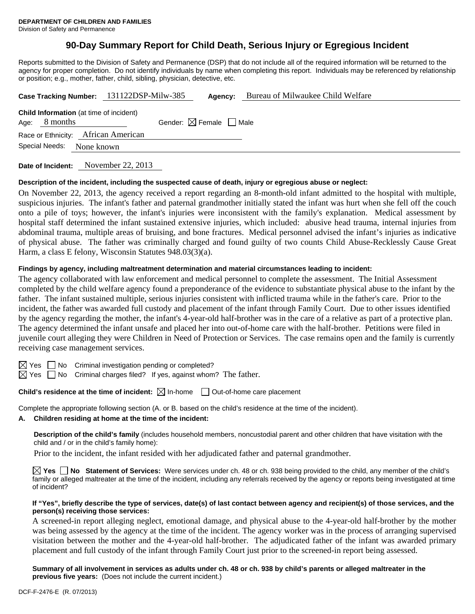# **90-Day Summary Report for Child Death, Serious Injury or Egregious Incident**

Reports submitted to the Division of Safety and Permanence (DSP) that do not include all of the required information will be returned to the agency for proper completion. Do not identify individuals by name when completing this report. Individuals may be referenced by relationship or position; e.g., mother, father, child, sibling, physician, detective, etc.

|                                                                   | Case Tracking Number: 131122DSP-Milw-385 | Agency:                                | Bureau of Milwaukee Child Welfare |
|-------------------------------------------------------------------|------------------------------------------|----------------------------------------|-----------------------------------|
| <b>Child Information</b> (at time of incident)<br>Age: $8$ months |                                          | Gender: $\boxtimes$ Female $\Box$ Male |                                   |
| Race or Ethnicity: African American                               |                                          |                                        |                                   |
| Special Needs:<br>None known                                      |                                          |                                        |                                   |
|                                                                   |                                          |                                        |                                   |

**Date of Incident:** November 22, 2013

#### **Description of the incident, including the suspected cause of death, injury or egregious abuse or neglect:**

On November 22, 2013, the agency received a report regarding an 8-month-old infant admitted to the hospital with multiple, suspicious injuries. The infant's father and paternal grandmother initially stated the infant was hurt when she fell off the couch onto a pile of toys; however, the infant's injuries were inconsistent with the family's explanation. Medical assessment by hospital staff determined the infant sustained extensive injuries, which included: abusive head trauma, internal injuries from abdominal trauma, multiple areas of bruising, and bone fractures. Medical personnel advised the infant's injuries as indicative of physical abuse. The father was criminally charged and found guilty of two counts Child Abuse-Recklessly Cause Great Harm, a class E felony, Wisconsin Statutes 948.03(3)(a).

## **Findings by agency, including maltreatment determination and material circumstances leading to incident:**

The agency collaborated with law enforcement and medical personnel to complete the assessment. The Initial Assessment completed by the child welfare agency found a preponderance of the evidence to substantiate physical abuse to the infant by the father. The infant sustained multiple, serious injuries consistent with inflicted trauma while in the father's care. Prior to the incident, the father was awarded full custody and placement of the infant through Family Court. Due to other issues identified by the agency regarding the mother, the infant's 4-year-old half-brother was in the care of a relative as part of a protective plan. The agency determined the infant unsafe and placed her into out-of-home care with the half-brother. Petitions were filed in juvenile court alleging they were Children in Need of Protection or Services. The case remains open and the family is currently receiving case management services.

 $\boxtimes$  Yes  $\Box$  No Criminal investigation pending or completed?

 $\boxtimes$  Yes  $\Box$  No Criminal charges filed? If yes, against whom? The father.

**Child's residence at the time of incident:** ⊠ In-home □ Out-of-home care placement

Complete the appropriate following section (A. or B. based on the child's residence at the time of the incident).

#### **A. Children residing at home at the time of the incident:**

**Description of the child's family** (includes household members, noncustodial parent and other children that have visitation with the child and / or in the child's family home):

Prior to the incident, the infant resided with her adjudicated father and paternal grandmother.

**Yes No Statement of Services:** Were services under ch. 48 or ch. 938 being provided to the child, any member of the child's family or alleged maltreater at the time of the incident, including any referrals received by the agency or reports being investigated at time of incident?

#### **If "Yes", briefly describe the type of services, date(s) of last contact between agency and recipient(s) of those services, and the person(s) receiving those services:**

A screened-in report alleging neglect, emotional damage, and physical abuse to the 4-year-old half-brother by the mother was being assessed by the agency at the time of the incident. The agency worker was in the process of arranging supervised visitation between the mother and the 4-year-old half-brother. The adjudicated father of the infant was awarded primary placement and full custody of the infant through Family Court just prior to the screened-in report being assessed.

**Summary of all involvement in services as adults under ch. 48 or ch. 938 by child's parents or alleged maltreater in the previous five years:** (Does not include the current incident.)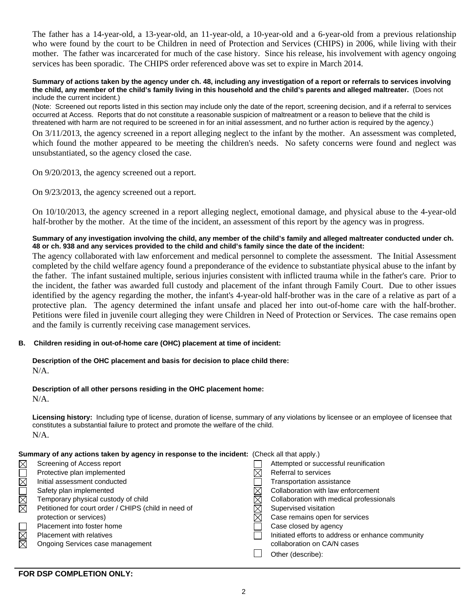The father has a 14-year-old, a 13-year-old, an 11-year-old, a 10-year-old and a 6-year-old from a previous relationship who were found by the court to be Children in need of Protection and Services (CHIPS) in 2006, while living with their mother. The father was incarcerated for much of the case history. Since his release, his involvement with agency ongoing services has been sporadic. The CHIPS order referenced above was set to expire in March 2014.

#### **Summary of actions taken by the agency under ch. 48, including any investigation of a report or referrals to services involving the child, any member of the child's family living in this household and the child's parents and alleged maltreater.** (Does not include the current incident.)

(Note: Screened out reports listed in this section may include only the date of the report, screening decision, and if a referral to services occurred at Access. Reports that do not constitute a reasonable suspicion of maltreatment or a reason to believe that the child is threatened with harm are not required to be screened in for an initial assessment, and no further action is required by the agency.)

On 3/11/2013, the agency screened in a report alleging neglect to the infant by the mother. An assessment was completed, which found the mother appeared to be meeting the children's needs. No safety concerns were found and neglect was unsubstantiated, so the agency closed the case.

On 9/20/2013, the agency screened out a report.

On 9/23/2013, the agency screened out a report.

On 10/10/2013, the agency screened in a report alleging neglect, emotional damage, and physical abuse to the 4-year-old half-brother by the mother. At the time of the incident, an assessment of this report by the agency was in progress.

## **Summary of any investigation involving the child, any member of the child's family and alleged maltreater conducted under ch. 48 or ch. 938 and any services provided to the child and child's family since the date of the incident:**

The agency collaborated with law enforcement and medical personnel to complete the assessment. The Initial Assessment completed by the child welfare agency found a preponderance of the evidence to substantiate physical abuse to the infant by the father. The infant sustained multiple, serious injuries consistent with inflicted trauma while in the father's care. Prior to the incident, the father was awarded full custody and placement of the infant through Family Court. Due to other issues identified by the agency regarding the mother, the infant's 4-year-old half-brother was in the care of a relative as part of a protective plan. The agency determined the infant unsafe and placed her into out-of-home care with the half-brother. Petitions were filed in juvenile court alleging they were Children in Need of Protection or Services. The case remains open and the family is currently receiving case management services.

# **B. Children residing in out-of-home care (OHC) placement at time of incident:**

## **Description of the OHC placement and basis for decision to place child there:** N/A.

# **Description of all other persons residing in the OHC placement home:**

N/A.

**Licensing history:** Including type of license, duration of license, summary of any violations by licensee or an employee of licensee that constitutes a substantial failure to protect and promote the welfare of the child. N/A.

# **Summary of any actions taken by agency in response to the incident:** (Check all that apply.)

| $\boxtimes$          | Screening of Access report                           | Attempted or successful reunification             |
|----------------------|------------------------------------------------------|---------------------------------------------------|
|                      | Protective plan implemented                          | Referral to services                              |
| $\overline{\square}$ | Initial assessment conducted                         | Transportation assistance                         |
|                      | Safety plan implemented                              | Collaboration with law enforcement                |
|                      | Temporary physical custody of child                  | Collaboration with medical professionals          |
| N<br>M<br>M          | Petitioned for court order / CHIPS (child in need of | Supervised visitation                             |
|                      | protection or services)                              | Case remains open for services                    |
|                      | Placement into foster home                           | Case closed by agency                             |
| $\Box \boxtimes$     | Placement with relatives                             | Initiated efforts to address or enhance community |
| $\boxtimes$          | Ongoing Services case management                     | collaboration on CA/N cases                       |
|                      |                                                      | Other (describe):                                 |
|                      |                                                      |                                                   |

# **FOR DSP COMPLETION ONLY:**